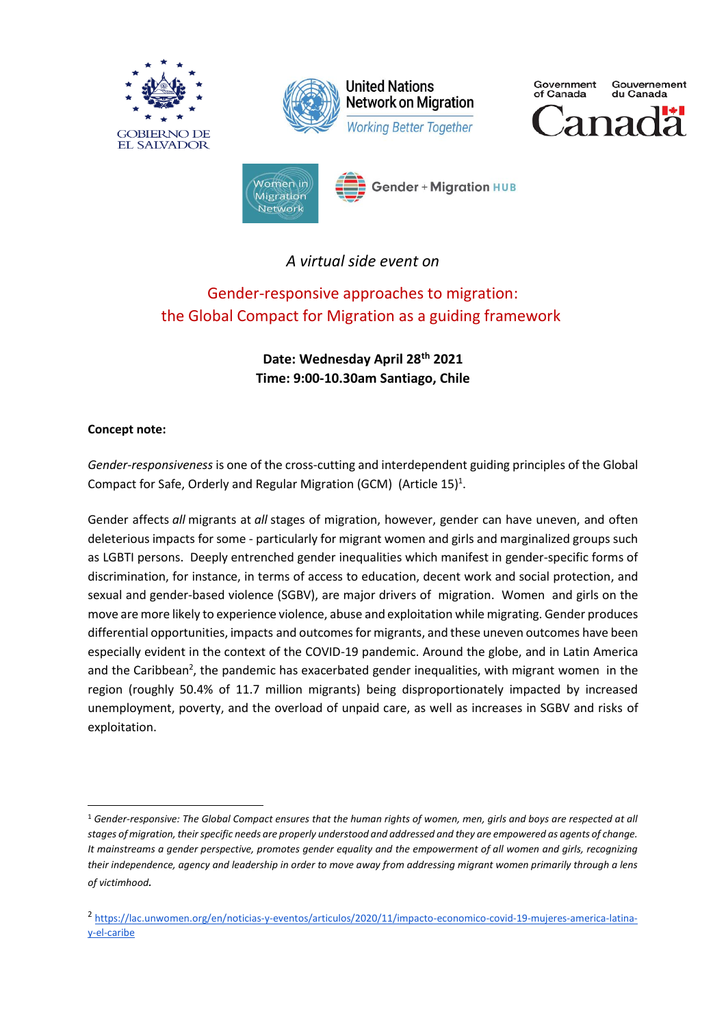









**Gender + Migration HUB** 

*A virtual side event on*

# Gender-responsive approaches to migration: the Global Compact for Migration as a guiding framework

**Date: Wednesday April 28th 2021 Time: 9:00-10.30am Santiago, Chile**

### **Concept note:**

*Gender-responsiveness* is one of the cross-cutting and interdependent guiding principles of the Global Compact for Safe, Orderly and Regular Migration (GCM) (Article 15)<sup>1</sup>.

Gender affects *all* migrants at *all* stages of migration, however, gender can have uneven, and often deleterious impacts for some - particularly for migrant women and girls and marginalized groups such as LGBTI persons. Deeply entrenched gender inequalities which manifest in gender-specific forms of discrimination, for instance, in terms of access to education, decent work and social protection, and sexual and gender-based violence (SGBV), are major drivers of migration. Women and girls on the move are more likely to experience violence, abuse and exploitation while migrating. Gender produces differential opportunities, impacts and outcomes for migrants, and these uneven outcomes have been especially evident in the context of the COVID-19 pandemic. Around the globe, and in Latin America and the Caribbean<sup>2</sup>, the pandemic has exacerbated gender inequalities, with migrant women in the region (roughly 50.4% of 11.7 million migrants) being disproportionately impacted by increased unemployment, poverty, and the overload of unpaid care, as well as increases in SGBV and risks of exploitation.

<sup>1</sup> *Gender-responsive: The Global Compact ensures that the human rights of women, men, girls and boys are respected at all stages of migration, their specific needs are properly understood and addressed and they are empowered as agents of change. It mainstreams a gender perspective, promotes gender equality and the empowerment of all women and girls, recognizing their independence, agency and leadership in order to move away from addressing migrant women primarily through a lens of victimhood.*

<sup>2</sup> [https://lac.unwomen.org/en/noticias-y-eventos/articulos/2020/11/impacto-economico-covid-19-mujeres-america-latina](https://lac.unwomen.org/en/noticias-y-eventos/articulos/2020/11/impacto-economico-covid-19-mujeres-america-latina-y-el-caribe)[y-el-caribe](https://lac.unwomen.org/en/noticias-y-eventos/articulos/2020/11/impacto-economico-covid-19-mujeres-america-latina-y-el-caribe)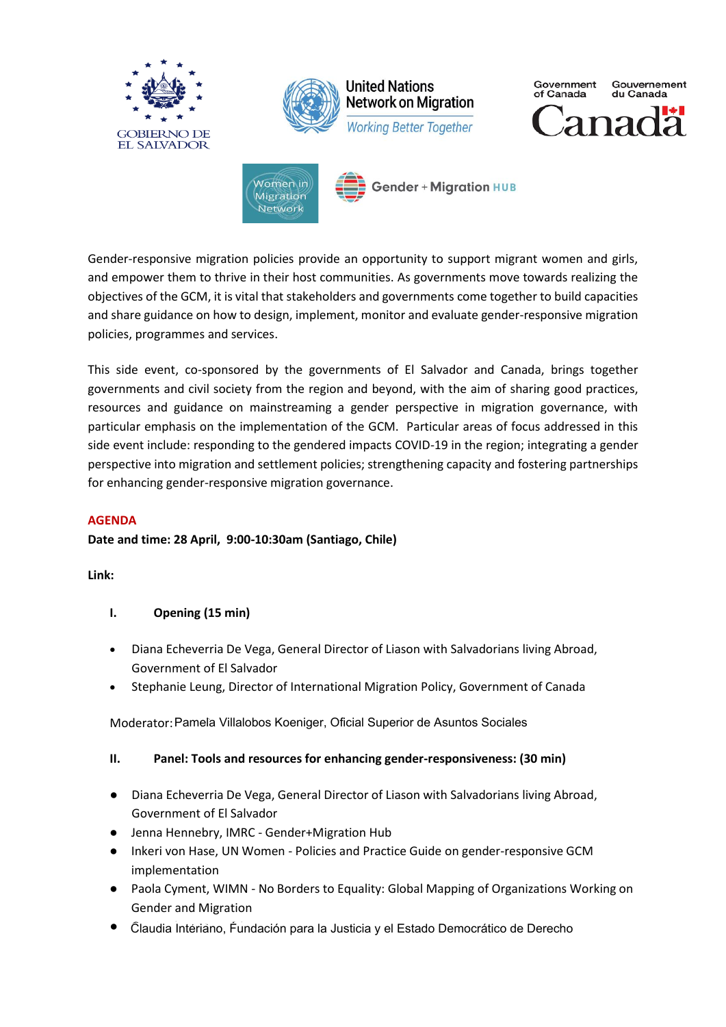

Gender-responsive migration policies provide an opportunity to support migrant women and girls, and empower them to thrive in their host communities. As governments move towards realizing the objectives of the GCM, it is vital that stakeholders and governments come together to build capacities and share guidance on how to design, implement, monitor and evaluate gender-responsive migration policies, programmes and services.

This side event, co-sponsored by the governments of El Salvador and Canada, brings together governments and civil society from the region and beyond, with the aim of sharing good practices, resources and guidance on mainstreaming a gender perspective in migration governance, with particular emphasis on the implementation of the GCM. Particular areas of focus addressed in this side event include: responding to the gendered impacts COVID-19 in the region; integrating a gender perspective into migration and settlement policies; strengthening capacity and fostering partnerships for enhancing gender-responsive migration governance.

#### **AGENDA**

#### **Date and time: 28 April, 9:00-10:30am (Santiago, Chile)**

**Link:**

#### **I. Opening (15 min)**

- Diana Echeverria De Vega, General Director of Liason with Salvadorians living Abroad, Government of El Salvador
- Stephanie Leung, Director of International Migration Policy, Government of Canada

Moderator: Pamela Villalobos Koeniger, Oficial Superior de Asuntos Sociales

#### **II. Panel: Tools and resources for enhancing gender-responsiveness: (30 min)**

- Diana Echeverria De Vega, General Director of Liason with Salvadorians living Abroad, Government of El Salvador
- Jenna Hennebry, IMRC Gender+Migration Hub
- Inkeri von Hase, UN Women Policies and Practice Guide on gender-responsive GCM implementation
- Paola Cyment, WIMN No Borders to Equality: Global Mapping of Organizations Working on Gender and Migration
- Claudia Interiano, Fundación para la Justicia y el Estado Democrático de Derecho